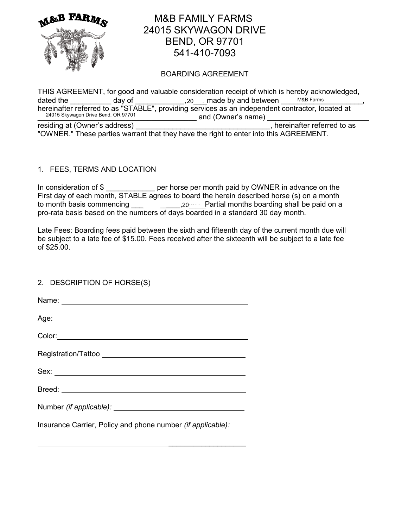

# M&B FAMILY FARMS 24015 SKYWAGON DRIVE BEND, OR 97701 541-410-7093

## BOARDING AGREEMENT

THIS AGREEMENT, for good and valuable consideration receipt of which is hereby acknowledged, dated the \_\_\_\_\_\_\_\_\_\_\_\_ day of \_\_\_\_\_\_\_\_\_\_\_\_\_,  $20$  \_\_\_ made by and between \_\_\_\_\_\_\_\_\_\_\_\_\_\_\_\_\_\_\_\_\_, hereinafter referred to as "STABLE", providing services as an independent contractor, located at and (Owner's name) M&B Farms 24015 Skywagon Drive Bend, OR 97701

residing at (Owner's address) example and the set of the set of the set of the set of the set of the set of the set of the set of the set of the set of the set of the set of the set of the set of the set of the set of the "OWNER." These parties warrant that they have the right to enter into this AGREEMENT.

## 1. FEES, TERMS AND LOCATION

In consideration of \$ per horse per month paid by OWNER in advance on the First day of each month, STABLE agrees to board the herein described horse (s) on a month to month basis commencing \_\_\_\_\_\_\_\_\_\_\_\_\_\_\_\_, 20 Nettrial months boarding shall be paid on a pro-rata basis based on the numbers of days boarded in a standard 30 day month.

Late Fees: Boarding fees paid between the sixth and fifteenth day of the current month due will be subject to a late fee of \$15.00. Fees received after the sixteenth will be subject to a late fee of \$25.00.

## 2. DESCRIPTION OF HORSE(S)

Insurance Carrier, Policy and phone number *(if applicable):*

 $\mathcal{L}_\text{max}$  and  $\mathcal{L}_\text{max}$  are the set of the set of the set of the set of the set of the set of the set of the set of the set of the set of the set of the set of the set of the set of the set of the set of the set o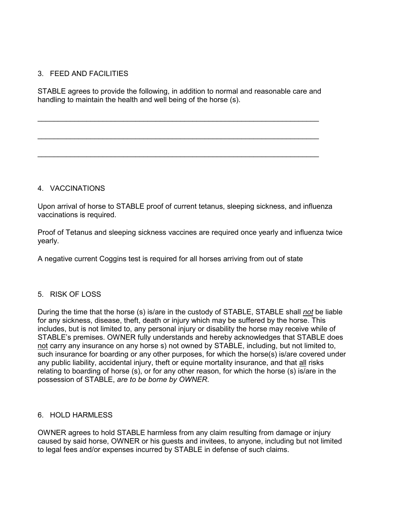## 3. FEED AND FACILITIES

STABLE agrees to provide the following, in addition to normal and reasonable care and handling to maintain the health and well being of the horse (s).

\_\_\_\_\_\_\_\_\_\_\_\_\_\_\_\_\_\_\_\_\_\_\_\_\_\_\_\_\_\_\_\_\_\_\_\_\_\_\_\_\_\_\_\_\_\_\_\_\_\_\_\_\_\_\_\_\_\_\_\_\_\_\_\_\_\_\_\_\_

\_\_\_\_\_\_\_\_\_\_\_\_\_\_\_\_\_\_\_\_\_\_\_\_\_\_\_\_\_\_\_\_\_\_\_\_\_\_\_\_\_\_\_\_\_\_\_\_\_\_\_\_\_\_\_\_\_\_\_\_\_\_\_\_\_\_\_\_\_

\_\_\_\_\_\_\_\_\_\_\_\_\_\_\_\_\_\_\_\_\_\_\_\_\_\_\_\_\_\_\_\_\_\_\_\_\_\_\_\_\_\_\_\_\_\_\_\_\_\_\_\_\_\_\_\_\_\_\_\_\_\_\_\_\_\_\_\_\_

## 4. VACCINATIONS

Upon arrival of horse to STABLE proof of current tetanus, sleeping sickness, and influenza vaccinations is required.

Proof of Tetanus and sleeping sickness vaccines are required once yearly and influenza twice yearly.

A negative current Coggins test is required for all horses arriving from out of state

## 5. RISK OF LOSS

During the time that the horse (s) is/are in the custody of STABLE, STABLE shall *not* be liable for any sickness, disease, theft, death or injury which may be suffered by the horse. This includes, but is not limited to, any personal injury or disability the horse may receive while of STABLE's premises. OWNER fully understands and hereby acknowledges that STABLE does not carry any insurance on any horse s) not owned by STABLE, including, but not limited to, such insurance for boarding or any other purposes, for which the horse(s) is/are covered under any public liability, accidental injury, theft or equine mortality insurance, and that all risks relating to boarding of horse (s), or for any other reason, for which the horse (s) is/are in the possession of STABLE, *are to be borne by OWNER*.

## 6. HOLD HARMLESS

OWNER agrees to hold STABLE harmless from any claim resulting from damage or injury caused by said horse, OWNER or his guests and invitees, to anyone, including but not limited to legal fees and/or expenses incurred by STABLE in defense of such claims.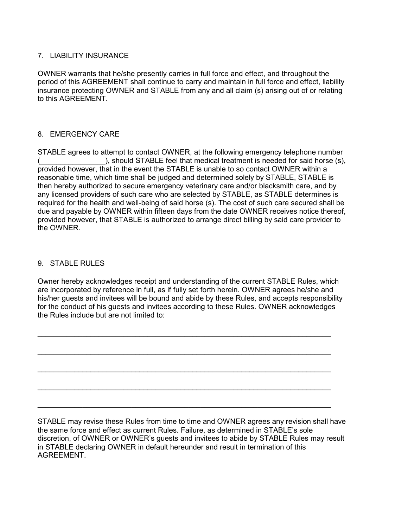## 7. LIABILITY INSURANCE

OWNER warrants that he/she presently carries in full force and effect, and throughout the period of this AGREEMENT shall continue to carry and maintain in full force and effect, liability insurance protecting OWNER and STABLE from any and all claim (s) arising out of or relating to this AGREEMENT.

## 8. EMERGENCY CARE

STABLE agrees to attempt to contact OWNER, at the following emergency telephone number (\_\_\_\_\_\_\_\_\_\_\_\_\_\_\_\_), should STABLE feel that medical treatment is needed for said horse (s), provided however, that in the event the STABLE is unable to so contact OWNER within a reasonable time, which time shall be judged and determined solely by STABLE, STABLE is then hereby authorized to secure emergency veterinary care and/or blacksmith care, and by any licensed providers of such care who are selected by STABLE, as STABLE determines is required for the health and well-being of said horse (s). The cost of such care secured shall be due and payable by OWNER within fifteen days from the date OWNER receives notice thereof, provided however, that STABLE is authorized to arrange direct billing by said care provider to the OWNER.

## 9. STABLE RULES

Owner hereby acknowledges receipt and understanding of the current STABLE Rules, which are incorporated by reference in full, as if fully set forth herein. OWNER agrees he/she and his/her guests and invitees will be bound and abide by these Rules, and accepts responsibility for the conduct of his guests and invitees according to these Rules. OWNER acknowledges the Rules include but are not limited to:

\_\_\_\_\_\_\_\_\_\_\_\_\_\_\_\_\_\_\_\_\_\_\_\_\_\_\_\_\_\_\_\_\_\_\_\_\_\_\_\_\_\_\_\_\_\_\_\_\_\_\_\_\_\_\_\_\_\_\_\_\_\_\_\_\_\_\_\_\_\_\_\_

\_\_\_\_\_\_\_\_\_\_\_\_\_\_\_\_\_\_\_\_\_\_\_\_\_\_\_\_\_\_\_\_\_\_\_\_\_\_\_\_\_\_\_\_\_\_\_\_\_\_\_\_\_\_\_\_\_\_\_\_\_\_\_\_\_\_\_\_\_\_\_\_

\_\_\_\_\_\_\_\_\_\_\_\_\_\_\_\_\_\_\_\_\_\_\_\_\_\_\_\_\_\_\_\_\_\_\_\_\_\_\_\_\_\_\_\_\_\_\_\_\_\_\_\_\_\_\_\_\_\_\_\_\_\_\_\_\_\_\_\_\_\_\_\_

\_\_\_\_\_\_\_\_\_\_\_\_\_\_\_\_\_\_\_\_\_\_\_\_\_\_\_\_\_\_\_\_\_\_\_\_\_\_\_\_\_\_\_\_\_\_\_\_\_\_\_\_\_\_\_\_\_\_\_\_\_\_\_\_\_\_\_\_\_\_\_\_

\_\_\_\_\_\_\_\_\_\_\_\_\_\_\_\_\_\_\_\_\_\_\_\_\_\_\_\_\_\_\_\_\_\_\_\_\_\_\_\_\_\_\_\_\_\_\_\_\_\_\_\_\_\_\_\_\_\_\_\_\_\_\_\_\_\_\_\_\_\_\_\_

STABLE may revise these Rules from time to time and OWNER agrees any revision shall have the same force and effect as current Rules. Failure, as determined in STABLE's sole discretion, of OWNER or OWNER's guests and invitees to abide by STABLE Rules may result in STABLE declaring OWNER in default hereunder and result in termination of this AGREEMENT.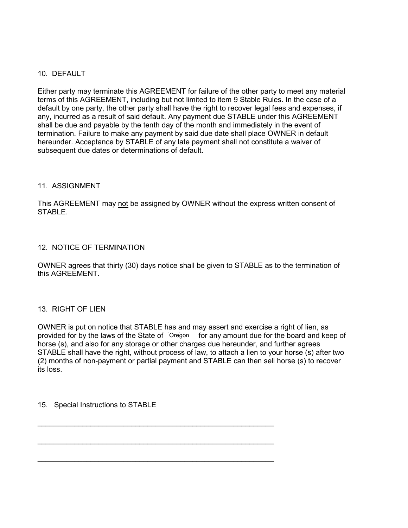## 10. DEFAULT

Either party may terminate this AGREEMENT for failure of the other party to meet any material terms of this AGREEMENT, including but not limited to item 9 Stable Rules. In the case of a default by one party, the other party shall have the right to recover legal fees and expenses, if any, incurred as a result of said default. Any payment due STABLE under this AGREEMENT shall be due and payable by the tenth day of the month and immediately in the event of termination. Failure to make any payment by said due date shall place OWNER in default hereunder. Acceptance by STABLE of any late payment shall not constitute a waiver of subsequent due dates or determinations of default.

#### 11. ASSIGNMENT

This AGREEMENT may not be assigned by OWNER without the express written consent of STABLE.

#### 12. NOTICE OF TERMINATION

OWNER agrees that thirty (30) days notice shall be given to STABLE as to the termination of this AGREEMENT.

## 13. RIGHT OF LIEN

OWNER is put on notice that STABLE has and may assert and exercise a right of lien, as provided for by the laws of the State of Cregon for any amount due for the board and keep of horse (s), and also for any storage or other charges due hereunder, and further agrees STABLE shall have the right, without process of law, to attach a lien to your horse (s) after two (2) months of non-payment or partial payment and STABLE can then sell horse (s) to recover its loss.

\_\_\_\_\_\_\_\_\_\_\_\_\_\_\_\_\_\_\_\_\_\_\_\_\_\_\_\_\_\_\_\_\_\_\_\_\_\_\_\_\_\_\_\_\_\_\_\_\_\_\_\_\_\_\_\_\_\_

\_\_\_\_\_\_\_\_\_\_\_\_\_\_\_\_\_\_\_\_\_\_\_\_\_\_\_\_\_\_\_\_\_\_\_\_\_\_\_\_\_\_\_\_\_\_\_\_\_\_\_\_\_\_\_\_\_\_

\_\_\_\_\_\_\_\_\_\_\_\_\_\_\_\_\_\_\_\_\_\_\_\_\_\_\_\_\_\_\_\_\_\_\_\_\_\_\_\_\_\_\_\_\_\_\_\_\_\_\_\_\_\_\_\_\_\_

15. Special Instructions to STABLE